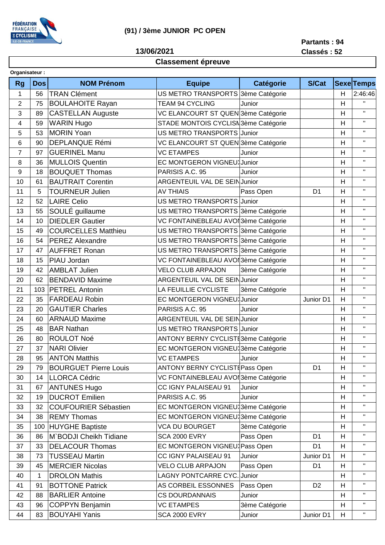

## **(91) / 3ème JUNIOR PC OPEN**

**13/06/2021**

**Partants : 94 Classés : 52**

## **Classement épreuve**

|                | Organisateur: |                              |                                      |                  |                |   |              |  |
|----------------|---------------|------------------------------|--------------------------------------|------------------|----------------|---|--------------|--|
| <b>Rg</b>      | <b>Dos</b>    | <b>NOM Prénom</b>            | <b>Equipe</b>                        | <b>Catégorie</b> | <b>S/Cat</b>   |   | Sexe Temps   |  |
| 1              | 56            | <b>TRAN Clément</b>          | US METRO TRANSPORTS 3ème Catégorie   |                  |                | H | 2:46:46      |  |
| $\overline{2}$ | 75            | <b>BOULAHOITE Rayan</b>      | <b>TEAM 94 CYCLING</b>               | Junior           |                | H | H.           |  |
| 3              | 89            | <b>CASTELLAN Auguste</b>     | VC ELANCOURT ST QUEN 3ème Catégorie  |                  |                | H | $\mathbf{H}$ |  |
| 4              | 59            | <b>WARIN Hugo</b>            | STADE MONTOIS CYCLISN 3ème Catégorie |                  |                | H | $\mathbf H$  |  |
| 5              | 53            | <b>MORIN Yoan</b>            | US METRO TRANSPORTS Junior           |                  |                | H | $\mathbf{H}$ |  |
| 6              | 90            | <b>DEPLANQUE Rémi</b>        | VC ELANCOURT ST QUEN 3ème Catégorie  |                  |                | H | $\mathbf{H}$ |  |
| $\overline{7}$ | 97            | <b>GUERINEL Manu</b>         | <b>VC ETAMPES</b>                    | Junior           |                | H | $\mathbf{H}$ |  |
| 8              | 36            | <b>MULLOIS Quentin</b>       | EC MONTGERON VIGNEU Junior           |                  |                | H | $\mathbf{H}$ |  |
| 9              | 18            | <b>BOUQUET Thomas</b>        | PARISIS A.C. 95                      | Junior           |                | H | $\mathbf{H}$ |  |
| 10             | 61            | <b>BAUTRAIT Corentin</b>     | ARGENTEUIL VAL DE SEIN Junior        |                  |                | H | $\mathbf H$  |  |
| 11             | 5             | <b>TOURNEUR Julien</b>       | <b>AV THIAIS</b>                     | Pass Open        | D <sub>1</sub> | H | $\mathbf{H}$ |  |
| 12             | 52            | <b>LAIRE Celio</b>           | US METRO TRANSPORTS Junior           |                  |                | H | $\mathbf{H}$ |  |
| 13             | 55            | SOULÉ guillaume              | US METRO TRANSPORTS 3ème Catégorie   |                  |                | H | $\mathbf{H}$ |  |
| 14             | 10            | <b>DIEDLER Gautier</b>       | VC FONTAINEBLEAU AVOI 3ème Catégorie |                  |                | H | $\mathbf H$  |  |
| 15             | 49            | <b>COURCELLES Matthieu</b>   | US METRO TRANSPORTS 3ème Catégorie   |                  |                | H | $\mathbf H$  |  |
| 16             | 54            | <b>PEREZ Alexandre</b>       | US METRO TRANSPORTS 3ème Catégorie   |                  |                | H | $\mathbf H$  |  |
| 17             | 47            | <b>AUFFRET Ronan</b>         | US METRO TRANSPORTS 3ème Catégorie   |                  |                | H | $\mathbf H$  |  |
| 18             | 15            | PIAU Jordan                  | VC FONTAINEBLEAU AVOI 3ème Catégorie |                  |                | H | $\mathbf{H}$ |  |
| 19             | 42            | <b>AMBLAT Julien</b>         | <b>VELO CLUB ARPAJON</b>             | 3ème Catégorie   |                | H | $\mathbf H$  |  |
| 20             | 62            | <b>BENDAVID Maxime</b>       | ARGENTEUIL VAL DE SEIN Junior        |                  |                | H | $\mathbf H$  |  |
| 21             | 103           | <b>PETREL Antonin</b>        | LA FEUILLIE CYCLISTE                 | 3ème Catégorie   |                | H | $\mathbf{H}$ |  |
| 22             | 35            | <b>FARDEAU Robin</b>         | EC MONTGERON VIGNEU Junior           |                  | Junior D1      | H | $\mathbf{H}$ |  |
| 23             | 20            | <b>GAUTIER Charles</b>       | PARISIS A.C. 95                      | Junior           |                | H | $\mathbf H$  |  |
| 24             | 60            | <b>ARNAUD Maxime</b>         | ARGENTEUIL VAL DE SEIN Junior        |                  |                | H | $\mathbf{H}$ |  |
| 25             | 48            | <b>BAR Nathan</b>            | US METRO TRANSPORTS Junior           |                  |                | H | $\mathbf H$  |  |
| 26             | 80            | <b>ROULOT Noé</b>            | ANTONY BERNY CYCLISTI3ème Catégorie  |                  |                | H | $\mathbf H$  |  |
| 27             | 37            | <b>NARI Olivier</b>          | EC MONTGERON VIGNEU 3ème Catégorie   |                  |                | H | $\mathbf{H}$ |  |
| 28             | 95            | <b>ANTON Matthis</b>         | <b>VC ETAMPES</b>                    | Junior           |                | H | $\mathbf{H}$ |  |
| 29             | 79            | <b>BOURGUET Pierre Louis</b> | ANTONY BERNY CYCLISTIPass Open       |                  | D <sub>1</sub> | H | $\mathbf{H}$ |  |
| 30             | 14            | LLORCA Cédric                | VC FONTAINEBLEAU AVOI 3ème Catégorie |                  |                | Н | Η.           |  |
| 31             | 67            | <b>ANTUNES Hugo</b>          | CC IGNY PALAISEAU 91                 | Junior           |                | H | $\mathbf{H}$ |  |
| 32             | 19            | <b>DUCROT Emilien</b>        | PARISIS A.C. 95                      | Junior           |                | H | $\mathbf H$  |  |
| 33             | 32            | <b>COUFOURIER Sébastien</b>  | EC MONTGERON VIGNEU 3ème Catégorie   |                  |                | H | $\mathbf{H}$ |  |
| 34             | 38            | <b>REMY Thomas</b>           | EC MONTGERON VIGNEU 3ème Catégorie   |                  |                | H | $\mathbf{H}$ |  |
| 35             | 100           | <b>HUYGHE Baptiste</b>       | <b>VCA DU BOURGET</b>                | 3ème Catégorie   |                | H | $\mathbf H$  |  |
| 36             | 86            | M`BODJI Cheikh Tidiane       | <b>SCA 2000 EVRY</b>                 | Pass Open        | D <sub>1</sub> | H | $\mathbf{H}$ |  |
| 37             | 33            | <b>DELACOUR Thomas</b>       | EC MONTGERON VIGNEU Pass Open        |                  | D <sub>1</sub> | H | $\mathbf H$  |  |
| 38             | 73            | <b>TUSSEAU Martin</b>        | CC IGNY PALAISEAU 91                 | Junior           | Junior D1      | H | $\mathbf H$  |  |
| 39             | 45            | <b>MERCIER Nicolas</b>       | <b>VELO CLUB ARPAJON</b>             | Pass Open        | D <sub>1</sub> | H | Π.           |  |
| 40             | 1             | <b>DROLON Mathis</b>         | LAGNY PONTCARRE CYC. Junior          |                  |                | H | $\mathbf{H}$ |  |
| 41             | 91            | <b>BOTTONE Patrick</b>       | AS CORBEIL ESSONNES                  | Pass Open        | D <sub>2</sub> | H | $\mathbf{H}$ |  |
| 42             | 88            | <b>BARLIER Antoine</b>       | <b>CS DOURDANNAIS</b>                | Junior           |                | H | $\mathbf H$  |  |
| 43             | 96            | <b>COPPYN Benjamin</b>       | <b>VC ETAMPES</b>                    | 3ème Catégorie   |                | H | Π.           |  |
| 44             | 83            | <b>BOUYAHI Yanis</b>         | <b>SCA 2000 EVRY</b>                 | Junior           | Junior D1      | H | $\mathbf{H}$ |  |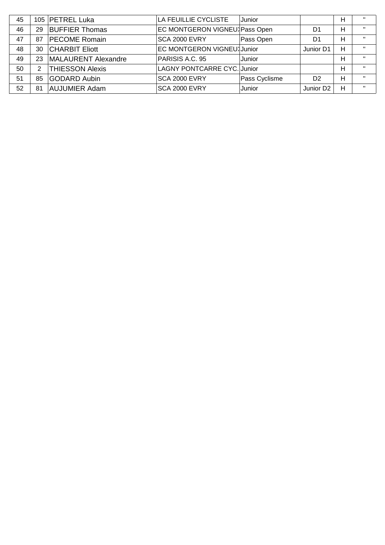| 45 |    | 105   PETREL Luka      | LA FEUILLIE CYCLISTE               | Junior        |                       | Н | $^{\prime\prime}$ |
|----|----|------------------------|------------------------------------|---------------|-----------------------|---|-------------------|
| 46 | 29 | <b>BUFFIER Thomas</b>  | EC MONTGERON VIGNEUX Pass Open     |               | D <sub>1</sub>        | Н | $\mathbf{H}$      |
| 47 | 87 | <b>PECOME Romain</b>   | SCA 2000 EVRY                      | Pass Open     | D1                    | н | $\mathbf{H}$      |
| 48 | 30 | <b>CHARBIT Eliott</b>  | EC MONTGERON VIGNEU Junior         |               | Junior D1             | н | $\mathbf{H}$      |
| 49 | 23 | MALAURENT Alexandre    | PARISIS A.C. 95                    | Junior        |                       | Н | $\mathbf{H}$      |
| 50 | 2  | <b>THIESSON Alexis</b> | <b>LAGNY PONTCARRE CYC. Junior</b> |               |                       | н | $\mathbf{H}$      |
| 51 | 85 | <b>GODARD Aubin</b>    | SCA 2000 EVRY                      | Pass Cyclisme | D <sub>2</sub>        | н | $\mathbf{H}$      |
| 52 | 81 | <b>AUJUMIER Adam</b>   | <b>ISCA 2000 EVRY</b>              | Junior        | Junior D <sub>2</sub> | н | $\mathbf{H}$      |